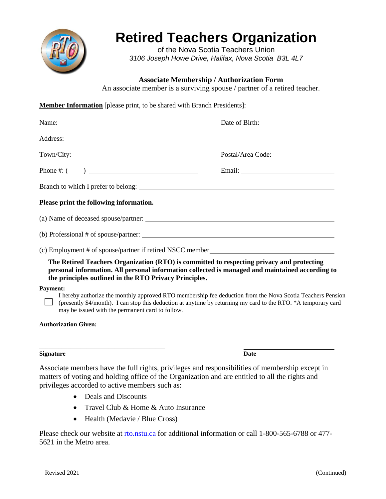

## **Retired Teachers Organization**

of the Nova Scotia Teachers Union *3106 Joseph Howe Drive, Halifax, Nova Scotia B3L 4L7*

**Associate Membership / Authorization Form**

An associate member is a surviving spouse / partner of a retired teacher.

**Member Information** [please print, to be shared with Branch Presidents]:

| Please print the following information.                                                                                                                                                                                                                |                                                                                                            |
|--------------------------------------------------------------------------------------------------------------------------------------------------------------------------------------------------------------------------------------------------------|------------------------------------------------------------------------------------------------------------|
|                                                                                                                                                                                                                                                        |                                                                                                            |
|                                                                                                                                                                                                                                                        |                                                                                                            |
| (c) Employment # of spouse/partner if retired NSCC member_______________________                                                                                                                                                                       |                                                                                                            |
| The Retired Teachers Organization (RTO) is committed to respecting privacy and protecting<br>personal information. All personal information collected is managed and maintained according to<br>the principles outlined in the RTO Privacy Principles. |                                                                                                            |
| <b>Payment:</b>                                                                                                                                                                                                                                        |                                                                                                            |
| (presently \$4/month). I can stop this deduction at anytime by returning my card to the RTO. *A temporary card<br>may be issued with the permanent card to follow.                                                                                     | I hereby authorize the monthly approved RTO membership fee deduction from the Nova Scotia Teachers Pension |
| <b>Authorization Given:</b>                                                                                                                                                                                                                            |                                                                                                            |

## **Signature Date**

Associate members have the full rights, privileges and responsibilities of membership except in matters of voting and holding office of the Organization and are entitled to all the rights and privileges accorded to active members such as:

• Deals and Discounts

**\_\_\_\_\_\_\_\_\_\_\_\_\_\_\_\_\_\_\_\_\_\_\_\_\_\_\_\_\_\_\_\_\_\_\_\_\_\_\_\_** 

- Travel Club & Home & Auto Insurance
- Health (Medavie / Blue Cross)

Please check our website at [rto.nstu.ca](http://rto.nstu.ca/) for additional information or call 1-800-565-6788 or 477- 5621 in the Metro area.